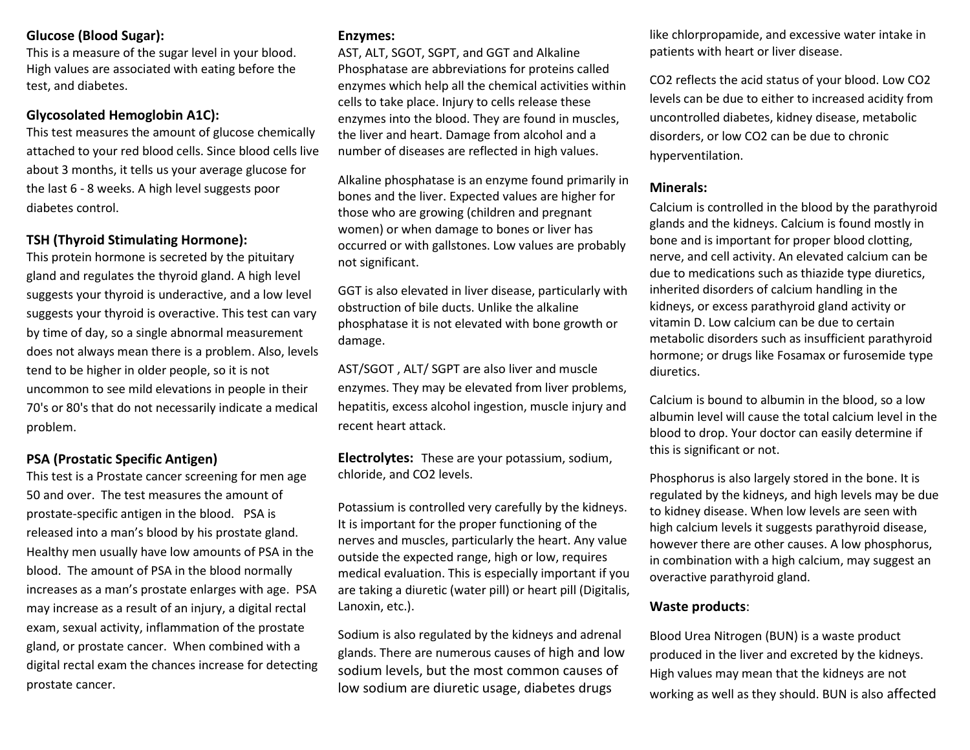# **Glucose (Blood Sugar):**

This is a measure of the sugar level in your blood. High values are associated with eating before the test, and diabetes.

## **Glycosolated Hemoglobin A1C):**

This test measures the amount of glucose chemically attached to your red blood cells. Since blood cells live about 3 months, it tells us your average glucose for the last 6 - 8 weeks. A high level suggests poor diabetes control.

# **TSH (Thyroid Stimulating Hormone):**

This protein hormone is secreted by the pituitary gland and regulates the thyroid gland. A high level suggests your thyroid is underactive, and a low level suggests your thyroid is overactive. This test can vary by time of day, so a single abnormal measurement does not always mean there is a problem. Also, levels tend to be higher in older people, so it is not uncommon to see mild elevations in people in their 70's or 80's that do not necessarily indicate a medical problem.

## **PSA (Prostatic Specific Antigen)**

This test is a Prostate cancer screening for men age 50 and over. The test measures the amount of prostate-specific antigen in the blood. PSA is released into a man's blood by his prostate gland. Healthy men usually have low amounts of PSA in the blood. The amount of PSA in the blood normally increases as a man's prostate enlarges with age. PSA may increase as a result of an injury, a digital rectal exam, sexual activity, inflammation of the prostate gland, or prostate cancer. When combined with a digital rectal exam the chances increase for detecting prostate cancer.

#### **Enzymes:**

AST, ALT, SGOT, SGPT, and GGT and Alkaline Phosphatase are abbreviations for proteins called enzymes which help all the chemical activities within cells to take place. Injury to cells release these enzymes into the blood. They are found in muscles, the liver and heart. Damage from alcohol and a number of diseases are reflected in high values.

Alkaline phosphatase is an enzyme found primarily in bones and the liver. Expected values are higher for those who are growing (children and pregnant women) or when damage to bones or liver has occurred or with gallstones. Low values are probably not significant.

GGT is also elevated in liver disease, particularly with obstruction of bile ducts. Unlike the alkaline phosphatase it is not elevated with bone growth or damage.

AST/SGOT , ALT/ SGPT are also liver and muscle enzymes. They may be elevated from liver problems, hepatitis, excess alcohol ingestion, muscle injury and recent heart attack.

**Electrolytes:** These are your potassium, sodium, chloride, and CO2 levels.

Potassium is controlled very carefully by the kidneys. It is important for the proper functioning of the nerves and muscles, particularly the heart. Any value outside the expected range, high or low, requires medical evaluation. This is especially important if you are taking a diuretic (water pill) or heart pill (Digitalis, Lanoxin, etc.).

Sodium is also regulated by the kidneys and adrenal glands. There are numerous causes of high and low sodium levels, but the most common causes of low sodium are diuretic usage, diabetes drugs

like chlorpropamide, and excessive water intake in patients with heart or liver disease.

CO2 reflects the acid status of your blood. Low CO2 levels can be due to either to increased acidity from uncontrolled diabetes, kidney disease, metabolic disorders, or low CO2 can be due to chronic hyperventilation.

#### **Minerals:**

Calcium is controlled in the blood by the parathyroid glands and the kidneys. Calcium is found mostly in bone and is important for proper blood clotting, nerve, and cell activity. An elevated calcium can be due to medications such as thiazide type diuretics, inherited disorders of calcium handling in the kidneys, or excess parathyroid gland activity or vitamin D. Low calcium can be due to certain metabolic disorders such as insufficient parathyroid hormone; or drugs like Fosamax or furosemide type diuretics.

Calcium is bound to albumin in the blood, so a low albumin level will cause the total calcium level in the blood to drop. Your doctor can easily determine if this is significant or not.

Phosphorus is also largely stored in the bone. It is regulated by the kidneys, and high levels may be due to kidney disease. When low levels are seen with high calcium levels it suggests parathyroid disease, however there are other causes. A low phosphorus, in combination with a high calcium, may suggest an overactive parathyroid gland.

#### **Waste products**:

Blood Urea Nitrogen (BUN) is a waste product produced in the liver and excreted by the kidneys. High values may mean that the kidneys are not working as well as they should. BUN is also affected